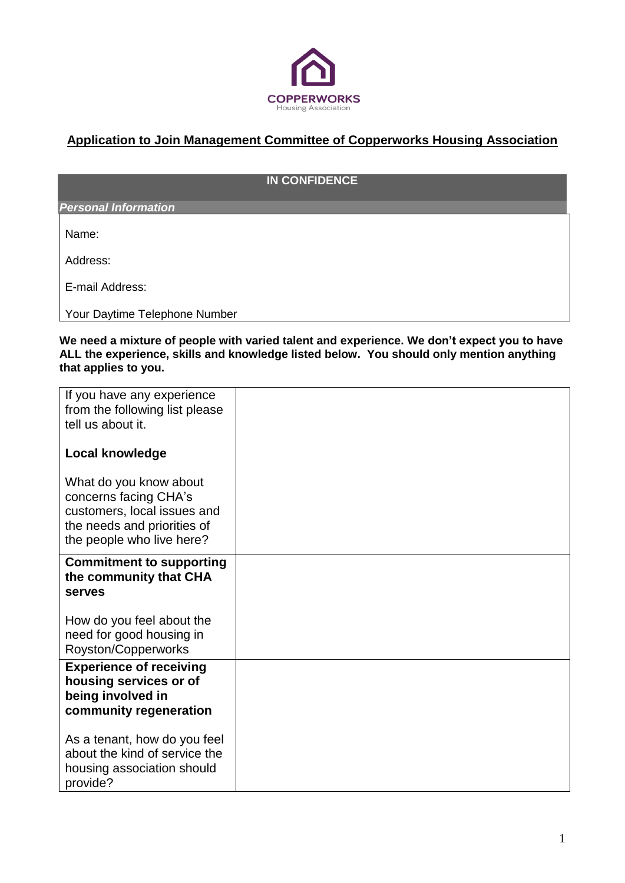

## **Application to Join Management Committee of Copperworks Housing Association**

## **IN CONFIDENCE**

*Personal Information*

Name:

Address:

E-mail Address:

Your Daytime Telephone Number

**We need a mixture of people with varied talent and experience. We don't expect you to have ALL the experience, skills and knowledge listed below. You should only mention anything that applies to you.** 

| If you have any experience<br>from the following list please<br>tell us about it.                                                          |  |
|--------------------------------------------------------------------------------------------------------------------------------------------|--|
| <b>Local knowledge</b>                                                                                                                     |  |
| What do you know about<br>concerns facing CHA's<br>customers, local issues and<br>the needs and priorities of<br>the people who live here? |  |
| <b>Commitment to supporting</b><br>the community that CHA<br><b>serves</b>                                                                 |  |
| How do you feel about the<br>need for good housing in<br>Royston/Copperworks                                                               |  |
| <b>Experience of receiving</b><br>housing services or of<br>being involved in<br>community regeneration                                    |  |
| As a tenant, how do you feel<br>about the kind of service the<br>housing association should<br>provide?                                    |  |